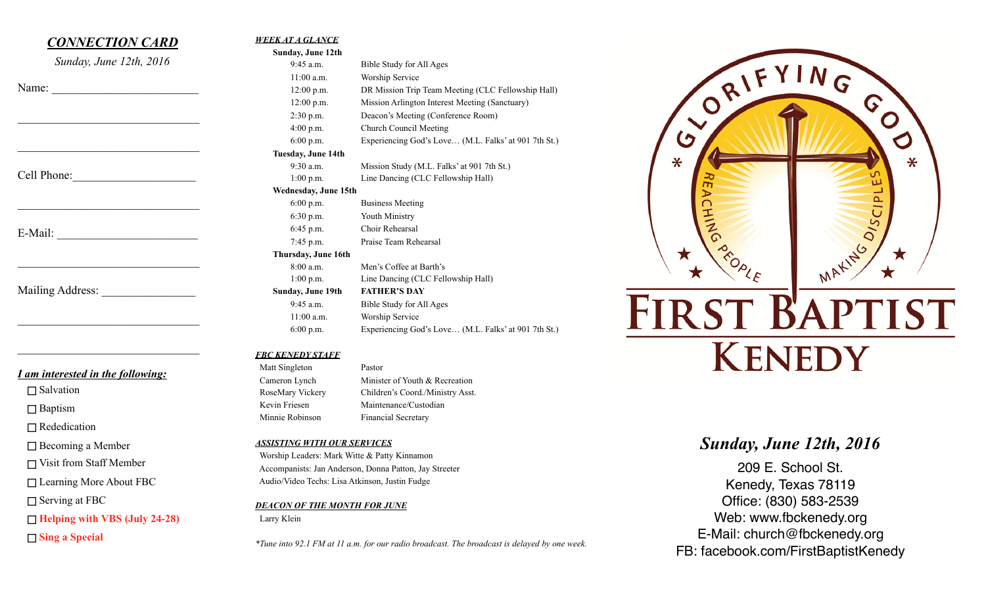# *CONNECTION CARD*

*Sunday, June 12th, 2016* 

 $\mathcal{L}_\text{max}$ 

 $\mathcal{L}_\text{max}$  , where  $\mathcal{L}_\text{max}$  and  $\mathcal{L}_\text{max}$  and  $\mathcal{L}_\text{max}$ 

 $\mathcal{L}_\text{max}$  , where  $\mathcal{L}_\text{max}$  and  $\mathcal{L}_\text{max}$ 

 $\mathcal{L}_\text{max}$ 

 $\mathcal{L}_\text{max}$  , where  $\mathcal{L}_\text{max}$  and  $\mathcal{L}_\text{max}$  and  $\mathcal{L}_\text{max}$ 

 $\mathcal{L}_\text{max}$  , where  $\mathcal{L}_\text{max}$  and  $\mathcal{L}_\text{max}$  and  $\mathcal{L}_\text{max}$ 

| Name: |
|-------|
|-------|

Cell Phone:

E-Mail:

Mailing Address:

*I am interested in the following:* 

 $\Box$  Salvation

□ Baptism

□ Rededication

□ Becoming a Member

□ Visit from Staff Member

□ Learning More About FBC

 $\Box$  Serving at FBC

**Helping with VBS (July 24-28)** 

**Sing a Special** 

| Sunday, June 12th    |                                                      |
|----------------------|------------------------------------------------------|
| $9:45$ a.m.          | Bible Study for All Ages                             |
| $11:00$ a.m.         | Worship Service                                      |
| $12:00$ p.m.         | DR Mission Trip Team Meeting (CLC Fellowship Hall)   |
| $12:00$ p.m.         | Mission Arlington Interest Meeting (Sanctuary)       |
| $2:30$ p.m.          | Deacon's Meeting (Conference Room)                   |
| $4:00$ p.m.          | Church Council Meeting                               |
| $6:00$ p.m.          | Experiencing God's Love (M.L. Falks' at 901 7th St.) |
| Tuesday, June 14th   |                                                      |
| 9:30 a.m.            | Mission Study (M.L. Falks' at 901 7th St.)           |
| $1:00$ p.m.          | Line Dancing (CLC Fellowship Hall)                   |
| Wednesday, June 15th |                                                      |
| $6:00$ p.m.          | <b>Business Meeting</b>                              |
| $6:30$ p.m.          | Youth Ministry                                       |
| $6:45$ p.m.          | Choir Rehearsal                                      |
| 7:45 p.m.            | Praise Team Rehearsal                                |
| Thursday, June 16th  |                                                      |
| 8:00 a.m.            | Men's Coffee at Barth's                              |
| $1:00$ p.m.          | Line Dancing (CLC Fellowship Hall)                   |
| Sunday, June 19th    | <b>FATHER'S DAY</b>                                  |
| $9:45$ a.m.          | Bible Study for All Ages                             |
| $11:00$ a.m.         | Worship Service                                      |
| 6:00 p.m.            | Experiencing God's Love (M.L. Falks' at 901 7th St.) |

*FBC KENEDY STAFF* 

 Matt Singleton Pastor Cameron Lynch Minister of Youth & Recreation RoseMary Vickery Children's Coord./Ministry Asst. Kevin Friesen Maintenance/Custodian Minnie Robinson Financial Secretary

*ASSISTING WITH OUR SERVICES*

 Worship Leaders: Mark Witte & Patty Kinnamon Accompanists: Jan Anderson, Donna Patton, Jay Streeter Audio/Video Techs: Lisa Atkinson, Justin Fudge

#### *DEACON OF THE MONTH FOR JUNE*

Larry Klein

*\*Tune into 92.1 FM at 11 a.m. for our radio broadcast. The broadcast is delayed by one week.*



# FIRST BAPTIST **KENEDY**

# *Sunday, June 12th, 2016*

209 E. School St. Kenedy, Texas 78119 Office: (830) 583-2539 Web: www.fbckenedy.org E-Mail: church@fbckenedy.org FB: facebook.com/FirstBaptistKenedy